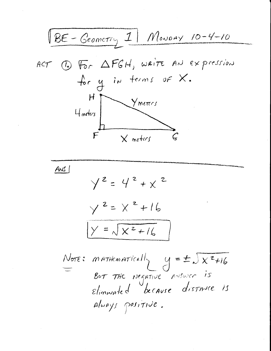| BE - Geometry I                      | However, 1                                       | However, 2 | However, 2                     | However, 2 |
|--------------------------------------|--------------------------------------------------|------------|--------------------------------|------------|
| ACT                                  | CP                                               | TO         | FGH, $weirt$ and $ex$ $prcsin$ |            |
| H                                    | Ymercs                                           |            |                                |            |
| H                                    | Ymercs                                           |            |                                |            |
| H                                    | Ymercs                                           |            |                                |            |
| 1                                    | Ymercs                                           |            |                                |            |
| 2                                    | Y <sup>2</sup> = Y <sup>2</sup> + X <sup>2</sup> |            |                                |            |
| Y <sup>2</sup> = X <sup>2</sup> + 16 |                                                  |            |                                |            |
| Y = \sqrt{X <sup>2</sup> + 16}       |                                                  |            |                                |            |
| Y = \sqrt{X <sup>2</sup> + 16}       |                                                  |            |                                |            |
| 1                                    | Y = \sqrt{X <sup>2</sup> + 16}                   |            |                                |            |
| 2                                    | 2                                                |            |                                |            |
| 1                                    | 2                                                |            |                                |            |
| 1                                    | 2                                                |            |                                |            |
| 2                                    | 2                                                |            |                                |            |
| 2                                    | 2                                                |            |                                |            |
| 2                                    | 2                                                |            |                                |            |
| 2                                    | 2                                                |            |                                |            |
| 2                                    | 2                                                |            |                                |            |
| 2                                    | 2                                                |            |                                |            |
| 2                                    | 2                                                |            |                                |            |
| 2                                    | 2                                                |            |                                |            |
| 2                                    | 2                                                |            |                                |            |
| 2                                    | 2                                                |            |                                |            |
| 2                                    | 2                                                |            |                                |            |

 $\frac{1}{\sqrt{2}}$ 

 $\sim 10$ 

 $\mathcal{A}^{\text{max}}_{\text{max}}$ 

 $\mathcal{A}^{\text{max}}_{\text{max}}$ 

 $\mathcal{L}(\mathcal{A})$  .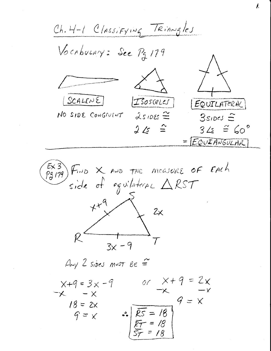Ch. 4-1 Classifying Triangles Vocaburny: See Pg 179 SCALENE  $I$ sosceles  $|\mathcal{EQ}$ UILATERAL NO SIDE CONGIVENT 25IDES =  $3s$ <sub>1</sub> $os \hat{=}$  $2\sqrt{5}$   $\approx$  $345 \cong 60^{\circ}$  $=$  $EQUFANGULAK$  $\begin{array}{ccc} \text{Ex 3} \\ \text{P5179} \end{array}$  Find X and the measure of EACh<br>side of equilateral  $\triangle RST$  $x+9$  $2x$  $3x - 9$ Any 2 sides must Be  $\cong$ or  $x+9=2x$  $X + 9 = 3x - 9$  $x - x$  $9 = x$  $18 = 2x$  $\sqrt{25} = 18$  $G = x$ 

 $\overline{\mathcal{L}}$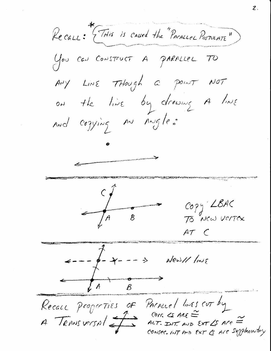Recau: THis is caused the "PACALLEL POSTULATE" You can CONSTRUCT A PARALLEL TO Ady Line THough a point NOT on the line by drawing A line and cogying an Angle:  $\frac{1}{\sqrt{1-\frac{1}{\sqrt{1-\frac{1}{\sqrt{1-\frac{1}{\sqrt{1-\frac{1}{\sqrt{1-\frac{1}{\sqrt{1-\frac{1}{\sqrt{1-\frac{1}{\sqrt{1-\frac{1}{\sqrt{1-\frac{1}{\sqrt{1-\frac{1}{\sqrt{1-\frac{1}{\sqrt{1-\frac{1}{\sqrt{1-\frac{1}{\sqrt{1-\frac{1}{\sqrt{1-\frac{1}{\sqrt{1-\frac{1}{\sqrt{1-\frac{1}{\sqrt{1-\frac{1}{\sqrt{1-\frac{1}{\sqrt{1-\frac{1}{\sqrt{1-\frac{1}{\sqrt{1-\frac{1}{\sqrt{1-\frac{1}{\sqrt{1-\frac{1$ COPY LBAC<br>70 NEW VENTEX  $ATC$  $+ - -$ News// line  $\Rightarrow$ Recall properties of PACALLEL linES CUT by Com.  $\csc$  ARE  $\cong$  $A$  TRANSVERSAL ALT. INT AND EXT LS Are  $=$ CONSECTINT AND EXT & Are Supplementary

 $\mathcal Z$  .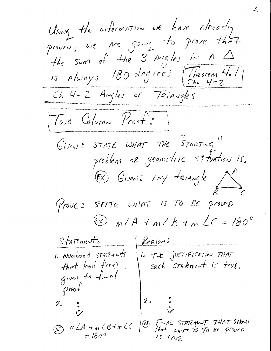Using the information we have Already the sum of the 3 Augles in A  $\Delta$ is Always 180 degrees. [Theorem 4.1] Ch. 4-2 Angles of TriAngles Two Column Proof: Given: STATE WHAT THE STARTING" EX Giveni: Any triangle Prove: STATE WHAT is TO BE proved  $\approx$   $mLA + mLB + mLC = 180^{\circ}$ Statements Reasons 1. Numbered statements 1. THE JUSTIFICATION THAT that lead from each stakment is true. given to final  $proch$  $2.$  $2 - 2$ W FINAL STATEMENT THAT SHOW  $\oslash$   $m\angle A + m\angle B + m\angle C$ that with is To be proved  $= 180^{\circ}$  $1s$  trus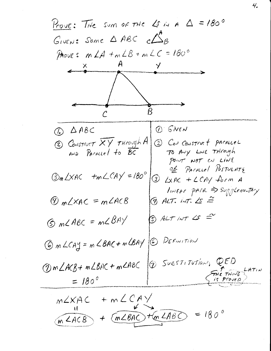Prove: The sum of the  $25$  in  $A = 180^\circ$ GIVEN: Some  $\triangle ABC$  c $\triangle$ R PROVE:  $m\angle A + m\angle B + m\angle C = 180^\circ$  $\tilde{\mathsf{X}}$  $\overline{\mathcal{B}}$  $(D)$   $SNEN$  $\omega$   $\triangle$  ABC 2 CONSTRUCT XY THROUGH A 2 Car Construct parallel TO ANY LINE THEORISH AND PACALLEL to BC POINT NOT ON LINE Of PACALLEL POSTULATS  $\Im mL\times AC$  + $mLCA\times = 180^\circ$  $\circled{3}$  LXAC + LCAY form A INEAR PARK > Supplementary  $9$  ALT. INT.  $\angle$ s  $\cong$  $\circled{y}_{m}\angle$ XAC = m $\angle$ ACB  $B$  ALT INT LS  $\cong$  $G$  m  $C$  ABC = m  $C$  BAY 6 m LCAY = m LBAC + m LBAY @ DEFINITION 12 SUBSTITUTION, QED  $Qm\angle ACB+ m\angle BAC+m\angle ABC$ THE THING  $= 180^{\circ}$  $m\angle XAC + m\angle CAV$  $=$  180<sup>o</sup>  $m\angle ACB$  +  $(m\angle BAC)$  +  $m\angle ABC$ 

 $4.$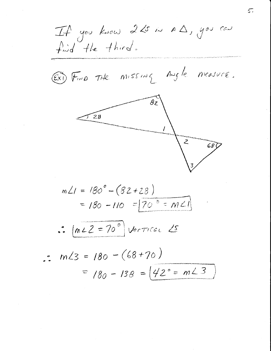If you know 225 in A 1, you can  $find$  the third. EXI FIND THE MISSING Angle measure.  $\overset{\_}{\mathcal{B}}$ 2  $28$  $\overline{z}$ 68 (  $m\angle 1 = 180^{\circ} - (82 + 28)$ =  $180 - 110 = 70^{\circ}$  =  $m \angle 1$  $\therefore$   $mLZ = 70^{\circ}$  Vertical  $\angle$ 5  $\cdot$  m/3 = 180 - (68+70) =  $180 - 138 = 42^{\circ} = m\angle 3$ 

 $5.$